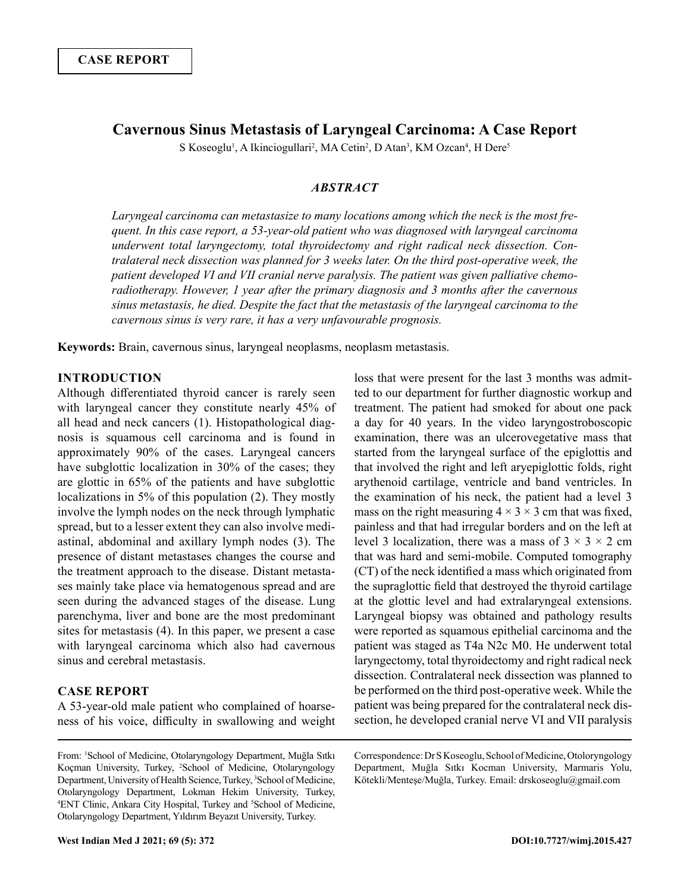# **Cavernous Sinus Metastasis of Laryngeal Carcinoma: A Case Report**

S Koseoglu<sup>1</sup>, A Ikinciogullari<sup>2</sup>, MA Cetin<sup>2</sup>, D Atan<sup>3</sup>, KM Ozcan<sup>4</sup>, H Dere<sup>5</sup>

## *ABSTRACT*

*Laryngeal carcinoma can metastasize to many locations among which the neck is the most frequent. In this case report, a 53-year-old patient who was diagnosed with laryngeal carcinoma underwent total laryngectomy, total thyroidectomy and right radical neck dissection. Contralateral neck dissection was planned for 3 weeks later. On the third post-operative week, the patient developed VI and VII cranial nerve paralysis. The patient was given palliative chemoradiotherapy. However, 1 year after the primary diagnosis and 3 months after the cavernous sinus metastasis, he died. Despite the fact that the metastasis of the laryngeal carcinoma to the cavernous sinus is very rare, it has a very unfavourable prognosis.*

**Keywords:** Brain, cavernous sinus, laryngeal neoplasms, neoplasm metastasis.

# **INTRODUCTION**

Although differentiated thyroid cancer is rarely seen with laryngeal cancer they constitute nearly 45% of all head and neck cancers (1). Histopathological diagnosis is squamous cell carcinoma and is found in approximately 90% of the cases. Laryngeal cancers have subglottic localization in 30% of the cases; they are glottic in 65% of the patients and have subglottic localizations in 5% of this population (2). They mostly involve the lymph nodes on the neck through lymphatic spread, but to a lesser extent they can also involve mediastinal, abdominal and axillary lymph nodes (3). The presence of distant metastases changes the course and the treatment approach to the disease. Distant metastases mainly take place via hematogenous spread and are seen during the advanced stages of the disease. Lung parenchyma, liver and bone are the most predominant sites for metastasis (4). In this paper, we present a case with laryngeal carcinoma which also had cavernous sinus and cerebral metastasis.

# **CASE REPORT**

A 53-year-old male patient who complained of hoarseness of his voice, difficulty in swallowing and weight loss that were present for the last 3 months was admitted to our department for further diagnostic workup and treatment. The patient had smoked for about one pack a day for 40 years. In the video laryngostroboscopic examination, there was an ulcerovegetative mass that started from the laryngeal surface of the epiglottis and that involved the right and left aryepiglottic folds, right arythenoid cartilage, ventricle and band ventricles. In the examination of his neck, the patient had a level 3 mass on the right measuring  $4 \times 3 \times 3$  cm that was fixed, painless and that had irregular borders and on the left at level 3 localization, there was a mass of  $3 \times 3 \times 2$  cm that was hard and semi-mobile. Computed tomography (CT) of the neck identified a mass which originated from the supraglottic field that destroyed the thyroid cartilage at the glottic level and had extralaryngeal extensions. Laryngeal biopsy was obtained and pathology results were reported as squamous epithelial carcinoma and the patient was staged as T4a N2c M0. He underwent total laryngectomy, total thyroidectomy and right radical neck dissection. Contralateral neck dissection was planned to be performed on the third post-operative week. While the patient was being prepared for the contralateral neck dissection, he developed cranial nerve VI and VII paralysis

#### Correspondence: Dr S Koseoglu, School of Medicine, Otoloryngology Department, Muğla Sıtkı Kocman University, Marmaris Yolu, Kötekli/Menteşe/Muğla, Turkey. Email: drskoseoglu@gmail.com

From: 1 School of Medicine, Otolaryngology Department, Muğla Sıtkı Koçman University, Turkey, 2 School of Medicine, Otolaryngology Department, University of Health Science, Turkey, <sup>3</sup>School of Medicine, Otolaryngology Department, Lokman Hekim University, Turkey, <sup>4</sup>ENT Clinic, Ankara City Hospital, Turkey and <sup>5</sup>School of Medicine, Otolaryngology Department, Yıldırım Beyazıt University, Turkey.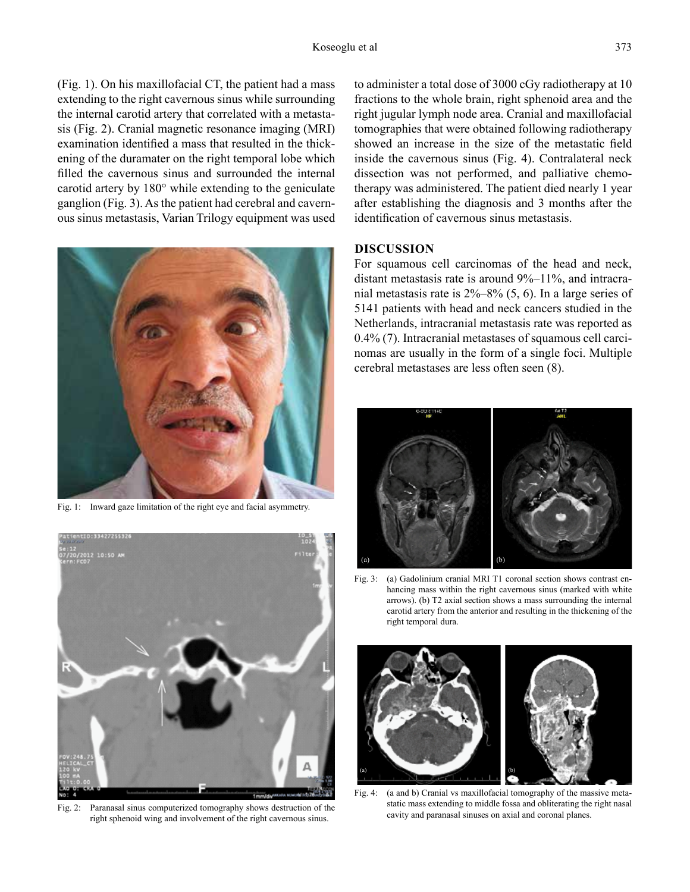(Fig. 1). On his maxillofacial CT, the patient had a mass extending to the right cavernous sinus while surrounding the internal carotid artery that correlated with a metastasis (Fig. 2). Cranial magnetic resonance imaging (MRI) examination identified a mass that resulted in the thickening of the duramater on the right temporal lobe which filled the cavernous sinus and surrounded the internal carotid artery by 180° while extending to the geniculate ganglion (Fig. 3). As the patient had cerebral and cavernous sinus metastasis, Varian Trilogy equipment was used



Fig. 1: Inward gaze limitation of the right eye and facial asymmetry.



Fig. 2: Paranasal sinus computerized tomography shows destruction of the right sphenoid wing and involvement of the right cavernous sinus.

to administer a total dose of 3000 cGy radiotherapy at 10 fractions to the whole brain, right sphenoid area and the right jugular lymph node area. Cranial and maxillofacial tomographies that were obtained following radiotherapy showed an increase in the size of the metastatic field inside the cavernous sinus (Fig. 4). Contralateral neck dissection was not performed, and palliative chemotherapy was administered. The patient died nearly 1 year after establishing the diagnosis and 3 months after the identification of cavernous sinus metastasis.

# **DISCUSSION**

For squamous cell carcinomas of the head and neck, distant metastasis rate is around 9%–11%, and intracranial metastasis rate is 2%–8% (5, 6). In a large series of 5141 patients with head and neck cancers studied in the Netherlands, intracranial metastasis rate was reported as 0.4% (7). Intracranial metastases of squamous cell carcinomas are usually in the form of a single foci. Multiple cerebral metastases are less often seen (8).



Fig. 3: (a) Gadolinium cranial MRI T1 coronal section shows contrast enhancing mass within the right cavernous sinus (marked with white arrows). (b) T2 axial section shows a mass surrounding the internal carotid artery from the anterior and resulting in the thickening of the right temporal dura.



Fig. 4: (a and b) Cranial vs maxillofacial tomography of the massive metastatic mass extending to middle fossa and obliterating the right nasal cavity and paranasal sinuses on axial and coronal planes.